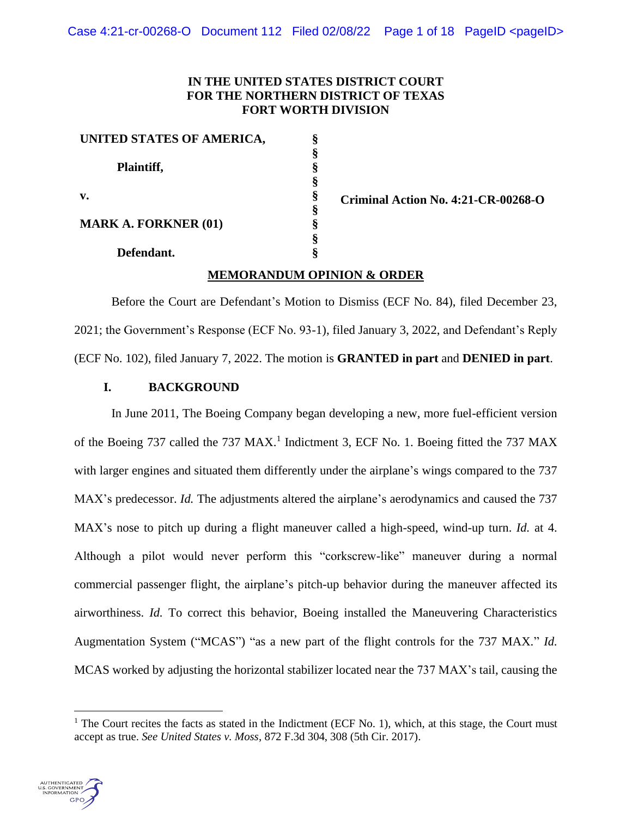# **IN THE UNITED STATES DISTRICT COURT FOR THE NORTHERN DISTRICT OF TEXAS FORT WORTH DIVISION**

| UNITED STATES OF AMERICA,   | Ş |
|-----------------------------|---|
|                             | ş |
| Plaintiff,                  | § |
|                             | ş |
| $\mathbf{v}$ .              | § |
|                             | § |
| <b>MARK A. FORKNER (01)</b> | ş |
|                             | ş |
| Defendant.                  | Ş |

**Criminal Action No. 4:21-CR-00268-O**

# **MEMORANDUM OPINION & ORDER**

Before the Court are Defendant's Motion to Dismiss (ECF No. 84), filed December 23, 2021; the Government's Response (ECF No. 93-1), filed January 3, 2022, and Defendant's Reply (ECF No. 102), filed January 7, 2022. The motion is **GRANTED in part** and **DENIED in part**.

# **I. BACKGROUND**

In June 2011, The Boeing Company began developing a new, more fuel-efficient version of the Boeing 737 called the 737 MAX.<sup>1</sup> Indictment 3, ECF No. 1. Boeing fitted the 737 MAX with larger engines and situated them differently under the airplane's wings compared to the 737 MAX's predecessor. *Id.* The adjustments altered the airplane's aerodynamics and caused the 737 MAX's nose to pitch up during a flight maneuver called a high-speed, wind-up turn. *Id.* at 4. Although a pilot would never perform this "corkscrew-like" maneuver during a normal commercial passenger flight, the airplane's pitch-up behavior during the maneuver affected its airworthiness. *Id.* To correct this behavior, Boeing installed the Maneuvering Characteristics Augmentation System ("MCAS") "as a new part of the flight controls for the 737 MAX." *Id.* MCAS worked by adjusting the horizontal stabilizer located near the 737 MAX's tail, causing the

<sup>&</sup>lt;sup>1</sup> The Court recites the facts as stated in the Indictment (ECF No. 1), which, at this stage, the Court must accept as true. *See United States v. Moss*, 872 F.3d 304, 308 (5th Cir. 2017).

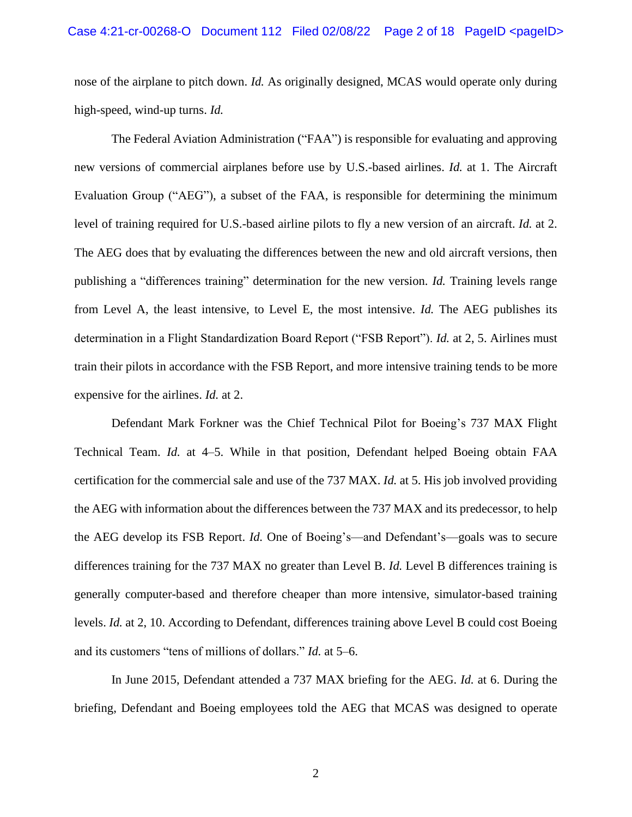nose of the airplane to pitch down. *Id.* As originally designed, MCAS would operate only during high-speed, wind-up turns. *Id.*

The Federal Aviation Administration ("FAA") is responsible for evaluating and approving new versions of commercial airplanes before use by U.S.-based airlines. *Id.* at 1. The Aircraft Evaluation Group ("AEG"), a subset of the FAA, is responsible for determining the minimum level of training required for U.S.-based airline pilots to fly a new version of an aircraft. *Id.* at 2. The AEG does that by evaluating the differences between the new and old aircraft versions, then publishing a "differences training" determination for the new version. *Id.* Training levels range from Level A, the least intensive, to Level E, the most intensive. *Id.* The AEG publishes its determination in a Flight Standardization Board Report ("FSB Report"). *Id.* at 2, 5. Airlines must train their pilots in accordance with the FSB Report, and more intensive training tends to be more expensive for the airlines. *Id.* at 2.

Defendant Mark Forkner was the Chief Technical Pilot for Boeing's 737 MAX Flight Technical Team. *Id.* at 4–5. While in that position, Defendant helped Boeing obtain FAA certification for the commercial sale and use of the 737 MAX. *Id.* at 5. His job involved providing the AEG with information about the differences between the 737 MAX and its predecessor, to help the AEG develop its FSB Report. *Id.* One of Boeing's—and Defendant's—goals was to secure differences training for the 737 MAX no greater than Level B. *Id.* Level B differences training is generally computer-based and therefore cheaper than more intensive, simulator-based training levels. *Id.* at 2, 10. According to Defendant, differences training above Level B could cost Boeing and its customers "tens of millions of dollars." *Id.* at 5–6.

In June 2015, Defendant attended a 737 MAX briefing for the AEG. *Id.* at 6. During the briefing, Defendant and Boeing employees told the AEG that MCAS was designed to operate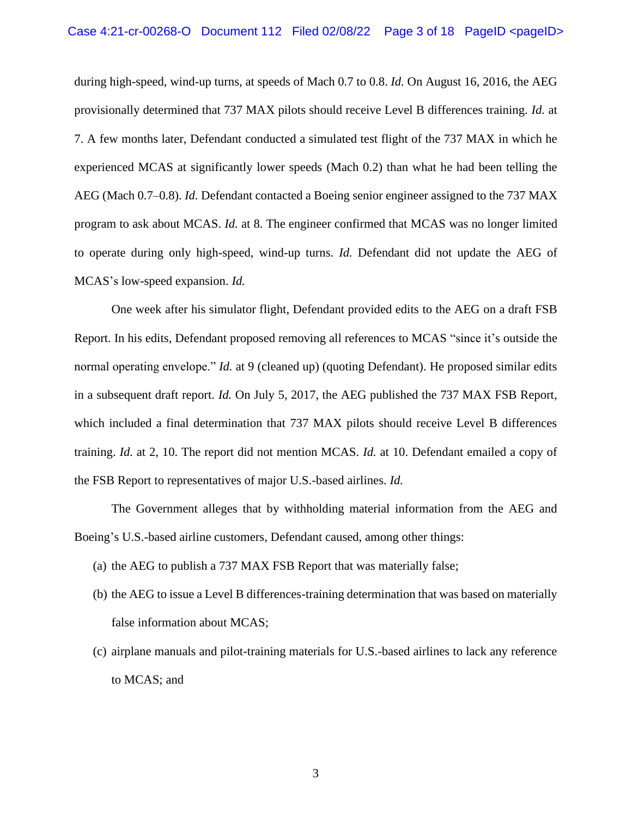during high-speed, wind-up turns, at speeds of Mach 0.7 to 0.8. *Id.* On August 16, 2016, the AEG provisionally determined that 737 MAX pilots should receive Level B differences training. *Id.* at 7. A few months later, Defendant conducted a simulated test flight of the 737 MAX in which he experienced MCAS at significantly lower speeds (Mach 0.2) than what he had been telling the AEG (Mach 0.7–0.8). *Id.* Defendant contacted a Boeing senior engineer assigned to the 737 MAX program to ask about MCAS. *Id.* at 8. The engineer confirmed that MCAS was no longer limited to operate during only high-speed, wind-up turns. *Id.* Defendant did not update the AEG of MCAS's low-speed expansion. *Id.*

One week after his simulator flight, Defendant provided edits to the AEG on a draft FSB Report. In his edits, Defendant proposed removing all references to MCAS "since it's outside the normal operating envelope." *Id.* at 9 (cleaned up) (quoting Defendant). He proposed similar edits in a subsequent draft report. *Id.* On July 5, 2017, the AEG published the 737 MAX FSB Report, which included a final determination that 737 MAX pilots should receive Level B differences training. *Id.* at 2, 10. The report did not mention MCAS. *Id.* at 10. Defendant emailed a copy of the FSB Report to representatives of major U.S.-based airlines. *Id.*

The Government alleges that by withholding material information from the AEG and Boeing's U.S.-based airline customers, Defendant caused, among other things:

- (a) the AEG to publish a 737 MAX FSB Report that was materially false;
- (b) the AEG to issue a Level B differences-training determination that was based on materially false information about MCAS;
- (c) airplane manuals and pilot-training materials for U.S.-based airlines to lack any reference to MCAS; and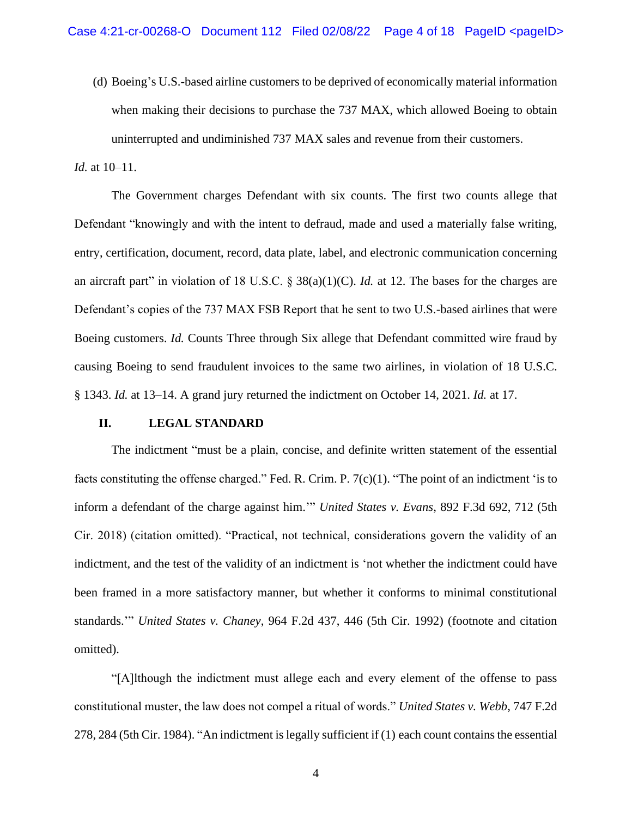(d) Boeing's U.S.-based airline customers to be deprived of economically material information when making their decisions to purchase the 737 MAX, which allowed Boeing to obtain uninterrupted and undiminished 737 MAX sales and revenue from their customers.

## *Id.* at 10–11.

The Government charges Defendant with six counts. The first two counts allege that Defendant "knowingly and with the intent to defraud, made and used a materially false writing, entry, certification, document, record, data plate, label, and electronic communication concerning an aircraft part" in violation of 18 U.S.C. § 38(a)(1)(C). *Id.* at 12. The bases for the charges are Defendant's copies of the 737 MAX FSB Report that he sent to two U.S.-based airlines that were Boeing customers. *Id.* Counts Three through Six allege that Defendant committed wire fraud by causing Boeing to send fraudulent invoices to the same two airlines, in violation of 18 U.S.C. § 1343. *Id.* at 13–14. A grand jury returned the indictment on October 14, 2021. *Id.* at 17.

#### **II. LEGAL STANDARD**

The indictment "must be a plain, concise, and definite written statement of the essential facts constituting the offense charged." Fed. R. Crim. P. 7(c)(1). "The point of an indictment 'is to inform a defendant of the charge against him.'" *United States v. Evans*, 892 F.3d 692, 712 (5th Cir. 2018) (citation omitted). "Practical, not technical, considerations govern the validity of an indictment, and the test of the validity of an indictment is 'not whether the indictment could have been framed in a more satisfactory manner, but whether it conforms to minimal constitutional standards.'" *United States v. Chaney*, 964 F.2d 437, 446 (5th Cir. 1992) (footnote and citation omitted).

"[A]lthough the indictment must allege each and every element of the offense to pass constitutional muster, the law does not compel a ritual of words." *United States v. Webb*, 747 F.2d 278, 284 (5th Cir. 1984). "An indictment is legally sufficient if (1) each count contains the essential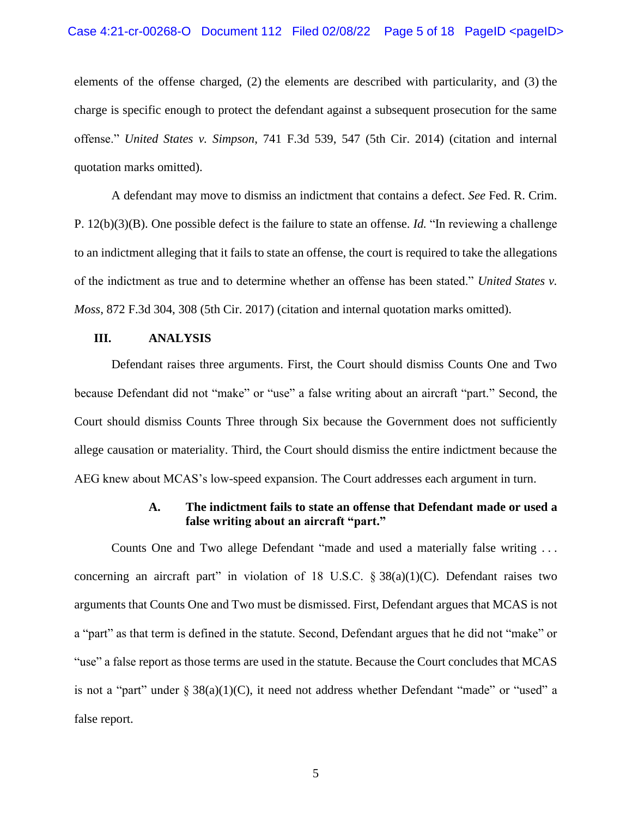#### Case 4:21-cr-00268-O Document  $112$  Filed 02/08/22 Page 5 of 18 PageID <pageID>

elements of the offense charged, (2) the elements are described with particularity, and (3) the charge is specific enough to protect the defendant against a subsequent prosecution for the same offense." *United States v. Simpson*, 741 F.3d 539, 547 (5th Cir. 2014) (citation and internal quotation marks omitted).

A defendant may move to dismiss an indictment that contains a defect. *See* Fed. R. Crim. P. 12(b)(3)(B). One possible defect is the failure to state an offense. *Id.* "In reviewing a challenge to an indictment alleging that it fails to state an offense, the court is required to take the allegations of the indictment as true and to determine whether an offense has been stated." *United States v. Moss*, 872 F.3d 304, 308 (5th Cir. 2017) (citation and internal quotation marks omitted).

## **III. ANALYSIS**

Defendant raises three arguments. First, the Court should dismiss Counts One and Two because Defendant did not "make" or "use" a false writing about an aircraft "part." Second, the Court should dismiss Counts Three through Six because the Government does not sufficiently allege causation or materiality. Third, the Court should dismiss the entire indictment because the AEG knew about MCAS's low-speed expansion. The Court addresses each argument in turn.

## **A. The indictment fails to state an offense that Defendant made or used a false writing about an aircraft "part."**

Counts One and Two allege Defendant "made and used a materially false writing . . . concerning an aircraft part" in violation of 18 U.S.C.  $\S 38(a)(1)(C)$ . Defendant raises two arguments that Counts One and Two must be dismissed. First, Defendant argues that MCAS is not a "part" as that term is defined in the statute. Second, Defendant argues that he did not "make" or "use" a false report as those terms are used in the statute. Because the Court concludes that MCAS is not a "part" under  $\S 38(a)(1)(C)$ , it need not address whether Defendant "made" or "used" a false report.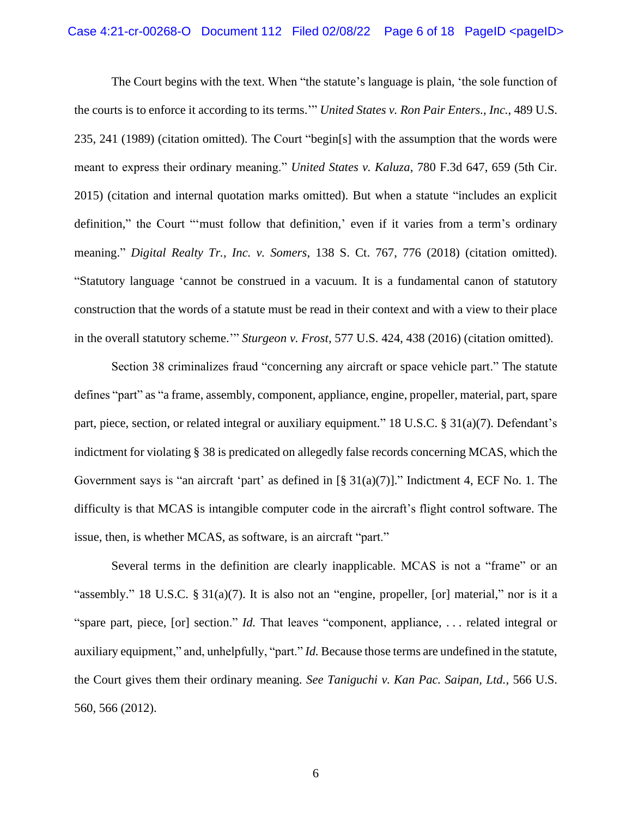## Case 4:21-cr-00268-O Document 112 Filed 02/08/22 Page 6 of 18 PageID <pageID>

The Court begins with the text. When "the statute's language is plain, 'the sole function of the courts is to enforce it according to its terms.'" *United States v. Ron Pair Enters., Inc.*, 489 U.S. 235, 241 (1989) (citation omitted). The Court "begin[s] with the assumption that the words were meant to express their ordinary meaning." *United States v. Kaluza*, 780 F.3d 647, 659 (5th Cir. 2015) (citation and internal quotation marks omitted). But when a statute "includes an explicit definition," the Court "'must follow that definition,' even if it varies from a term's ordinary meaning." *Digital Realty Tr., Inc. v. Somers*, 138 S. Ct. 767, 776 (2018) (citation omitted). "Statutory language 'cannot be construed in a vacuum. It is a fundamental canon of statutory construction that the words of a statute must be read in their context and with a view to their place in the overall statutory scheme.'" *Sturgeon v. Frost*, 577 U.S. 424, 438 (2016) (citation omitted).

Section 38 criminalizes fraud "concerning any aircraft or space vehicle part." The statute defines "part" as "a frame, assembly, component, appliance, engine, propeller, material, part, spare part, piece, section, or related integral or auxiliary equipment." 18 U.S.C. § 31(a)(7). Defendant's indictment for violating § 38 is predicated on allegedly false records concerning MCAS, which the Government says is "an aircraft 'part' as defined in  $\lbrack \S 31(a)(7)\rbrack$ ." Indictment 4, ECF No. 1. The difficulty is that MCAS is intangible computer code in the aircraft's flight control software. The issue, then, is whether MCAS, as software, is an aircraft "part."

Several terms in the definition are clearly inapplicable. MCAS is not a "frame" or an "assembly." 18 U.S.C.  $\S 31(a)(7)$ . It is also not an "engine, propeller, [or] material," nor is it a "spare part, piece, [or] section." *Id.* That leaves "component, appliance, . . . related integral or auxiliary equipment," and, unhelpfully, "part." *Id.* Because those terms are undefined in the statute, the Court gives them their ordinary meaning. *See Taniguchi v. Kan Pac. Saipan, Ltd.,* 566 U.S. 560, 566 (2012).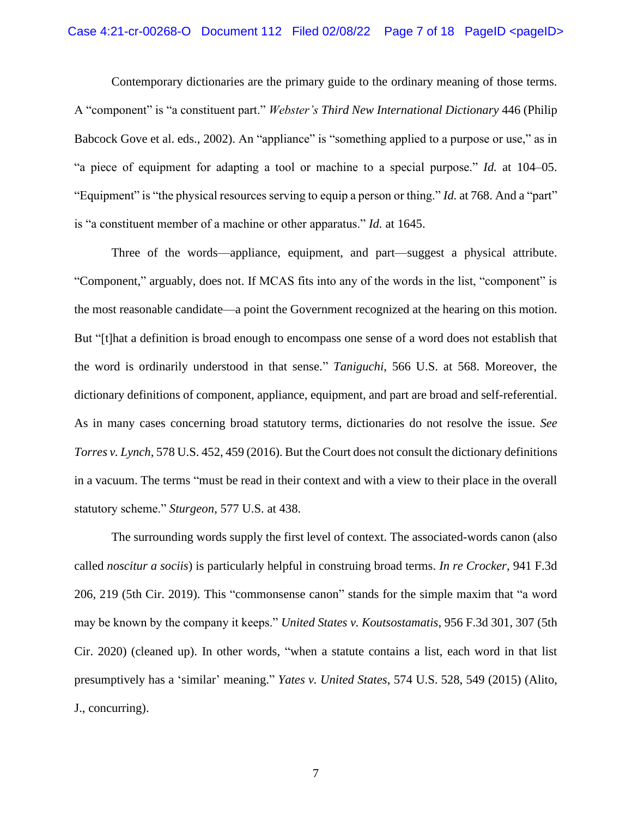Contemporary dictionaries are the primary guide to the ordinary meaning of those terms. A "component" is "a constituent part." *Webster's Third New International Dictionary* 446 (Philip Babcock Gove et al. eds., 2002). An "appliance" is "something applied to a purpose or use," as in "a piece of equipment for adapting a tool or machine to a special purpose." *Id.* at 104–05. "Equipment" is "the physical resources serving to equip a person or thing." *Id.* at 768. And a "part" is "a constituent member of a machine or other apparatus." *Id.* at 1645.

Three of the words—appliance, equipment, and part—suggest a physical attribute. "Component," arguably, does not. If MCAS fits into any of the words in the list, "component" is the most reasonable candidate—a point the Government recognized at the hearing on this motion. But "[t]hat a definition is broad enough to encompass one sense of a word does not establish that the word is ordinarily understood in that sense." *Taniguchi*, 566 U.S. at 568. Moreover, the dictionary definitions of component, appliance, equipment, and part are broad and self-referential. As in many cases concerning broad statutory terms, dictionaries do not resolve the issue. *See Torres v. Lynch*, 578 U.S. 452, 459 (2016). But the Court does not consult the dictionary definitions in a vacuum. The terms "must be read in their context and with a view to their place in the overall statutory scheme." *Sturgeon*, 577 U.S. at 438.

The surrounding words supply the first level of context. The associated-words canon (also called *noscitur a sociis*) is particularly helpful in construing broad terms. *In re Crocker*, 941 F.3d 206, 219 (5th Cir. 2019). This "commonsense canon" stands for the simple maxim that "a word may be known by the company it keeps." *United States v. Koutsostamatis*, 956 F.3d 301, 307 (5th Cir. 2020) (cleaned up). In other words, "when a statute contains a list, each word in that list presumptively has a 'similar' meaning." *Yates v. United States*, 574 U.S. 528, 549 (2015) (Alito, J., concurring).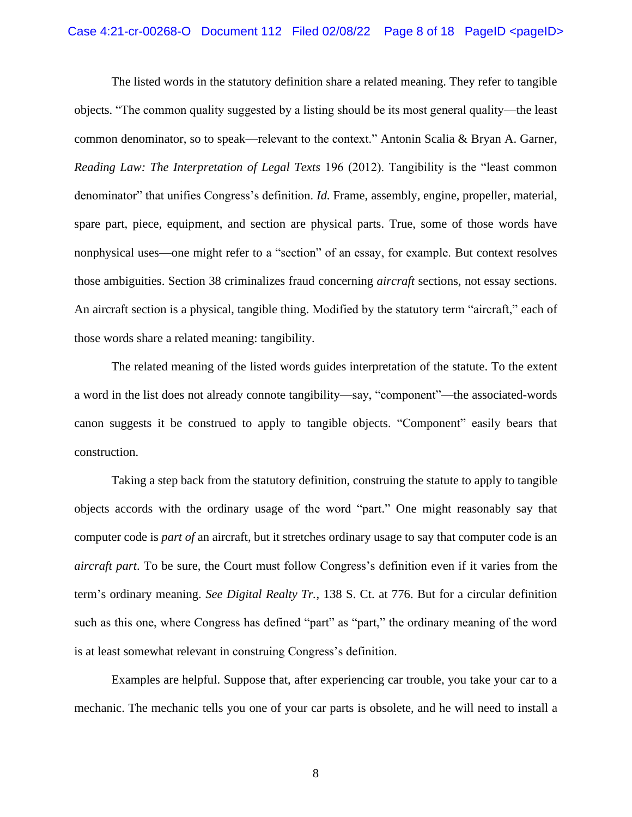## Case 4:21-cr-00268-O Document 112 Filed 02/08/22 Page 8 of 18 PageID <pageID>

The listed words in the statutory definition share a related meaning. They refer to tangible objects. "The common quality suggested by a listing should be its most general quality—the least common denominator, so to speak—relevant to the context." Antonin Scalia & Bryan A. Garner, *Reading Law: The Interpretation of Legal Texts* 196 (2012). Tangibility is the "least common denominator" that unifies Congress's definition. *Id.* Frame, assembly, engine, propeller, material, spare part, piece, equipment, and section are physical parts. True, some of those words have nonphysical uses—one might refer to a "section" of an essay, for example. But context resolves those ambiguities. Section 38 criminalizes fraud concerning *aircraft* sections, not essay sections. An aircraft section is a physical, tangible thing. Modified by the statutory term "aircraft," each of those words share a related meaning: tangibility.

The related meaning of the listed words guides interpretation of the statute. To the extent a word in the list does not already connote tangibility—say, "component"—the associated-words canon suggests it be construed to apply to tangible objects. "Component" easily bears that construction.

Taking a step back from the statutory definition, construing the statute to apply to tangible objects accords with the ordinary usage of the word "part." One might reasonably say that computer code is *part of* an aircraft, but it stretches ordinary usage to say that computer code is an *aircraft part*. To be sure, the Court must follow Congress's definition even if it varies from the term's ordinary meaning. *See Digital Realty Tr.*, 138 S. Ct. at 776. But for a circular definition such as this one, where Congress has defined "part" as "part," the ordinary meaning of the word is at least somewhat relevant in construing Congress's definition.

Examples are helpful. Suppose that, after experiencing car trouble, you take your car to a mechanic. The mechanic tells you one of your car parts is obsolete, and he will need to install a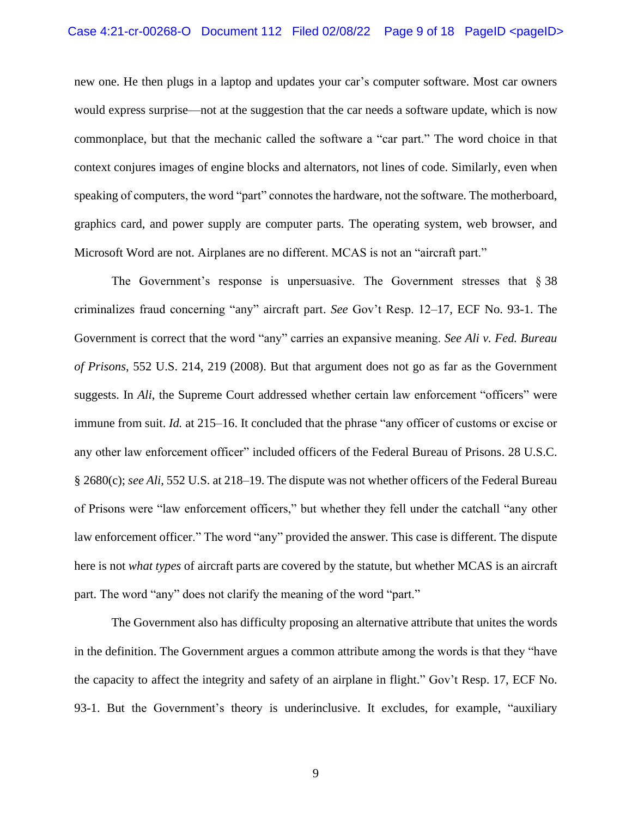new one. He then plugs in a laptop and updates your car's computer software. Most car owners would express surprise—not at the suggestion that the car needs a software update, which is now commonplace, but that the mechanic called the software a "car part." The word choice in that context conjures images of engine blocks and alternators, not lines of code. Similarly, even when speaking of computers, the word "part" connotes the hardware, not the software. The motherboard, graphics card, and power supply are computer parts. The operating system, web browser, and Microsoft Word are not. Airplanes are no different. MCAS is not an "aircraft part."

The Government's response is unpersuasive. The Government stresses that  $\S 38$ criminalizes fraud concerning "any" aircraft part. *See* Gov't Resp. 12–17, ECF No. 93-1. The Government is correct that the word "any" carries an expansive meaning. *See Ali v. Fed. Bureau of Prisons*, 552 U.S. 214, 219 (2008). But that argument does not go as far as the Government suggests. In *Ali*, the Supreme Court addressed whether certain law enforcement "officers" were immune from suit. *Id.* at 215–16. It concluded that the phrase "any officer of customs or excise or any other law enforcement officer" included officers of the Federal Bureau of Prisons. 28 U.S.C. § 2680(c); *see Ali*, 552 U.S. at 218–19. The dispute was not whether officers of the Federal Bureau of Prisons were "law enforcement officers," but whether they fell under the catchall "any other law enforcement officer." The word "any" provided the answer. This case is different. The dispute here is not *what types* of aircraft parts are covered by the statute, but whether MCAS is an aircraft part. The word "any" does not clarify the meaning of the word "part."

The Government also has difficulty proposing an alternative attribute that unites the words in the definition. The Government argues a common attribute among the words is that they "have the capacity to affect the integrity and safety of an airplane in flight." Gov't Resp. 17, ECF No. 93-1. But the Government's theory is underinclusive. It excludes, for example, "auxiliary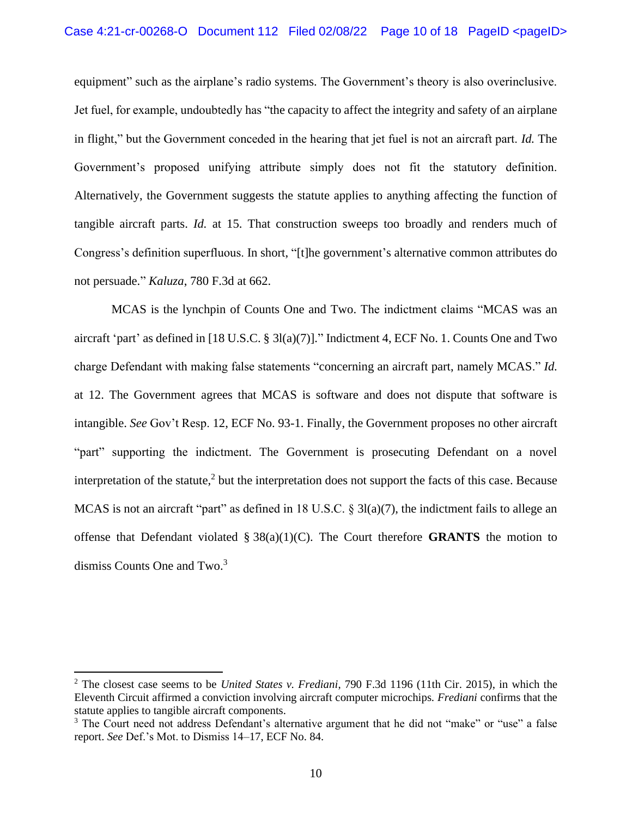equipment" such as the airplane's radio systems. The Government's theory is also overinclusive. Jet fuel, for example, undoubtedly has "the capacity to affect the integrity and safety of an airplane in flight," but the Government conceded in the hearing that jet fuel is not an aircraft part. *Id.* The Government's proposed unifying attribute simply does not fit the statutory definition. Alternatively, the Government suggests the statute applies to anything affecting the function of tangible aircraft parts. *Id.* at 15. That construction sweeps too broadly and renders much of Congress's definition superfluous. In short, "[t]he government's alternative common attributes do not persuade." *Kaluza*, 780 F.3d at 662.

MCAS is the lynchpin of Counts One and Two. The indictment claims "MCAS was an aircraft 'part' as defined in [18 U.S.C. § 3l(a)(7)]." Indictment 4, ECF No. 1. Counts One and Two charge Defendant with making false statements "concerning an aircraft part, namely MCAS." *Id.* at 12. The Government agrees that MCAS is software and does not dispute that software is intangible. *See* Gov't Resp. 12, ECF No. 93-1. Finally, the Government proposes no other aircraft "part" supporting the indictment. The Government is prosecuting Defendant on a novel interpretation of the statute, 2 but the interpretation does not support the facts of this case. Because MCAS is not an aircraft "part" as defined in 18 U.S.C. § 3l(a)(7), the indictment fails to allege an offense that Defendant violated § 38(a)(1)(C). The Court therefore **GRANTS** the motion to dismiss Counts One and Two.<sup>3</sup>

<sup>2</sup> The closest case seems to be *United States v. Frediani*, 790 F.3d 1196 (11th Cir. 2015), in which the Eleventh Circuit affirmed a conviction involving aircraft computer microchips. *Frediani* confirms that the statute applies to tangible aircraft components.

<sup>&</sup>lt;sup>3</sup> The Court need not address Defendant's alternative argument that he did not "make" or "use" a false report. *See* Def.'s Mot. to Dismiss 14–17, ECF No. 84.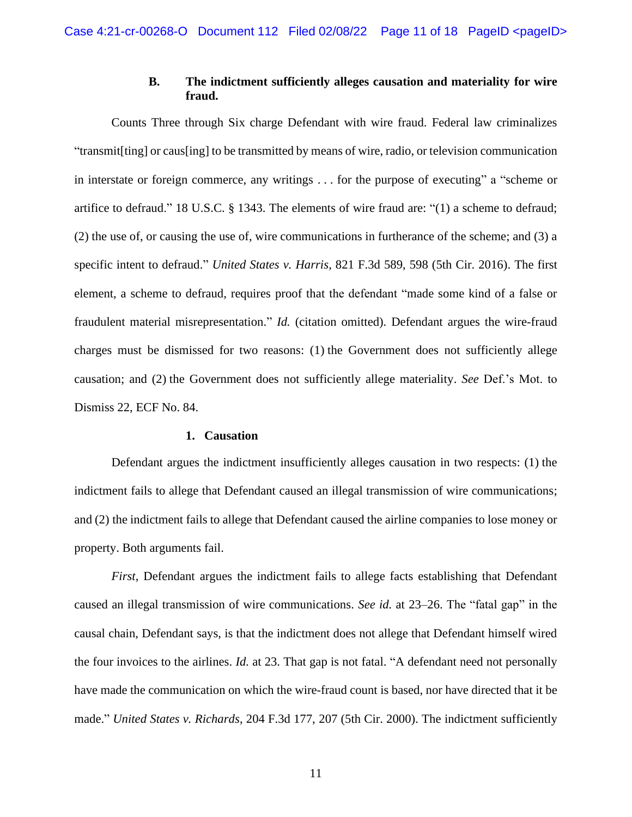# **B. The indictment sufficiently alleges causation and materiality for wire fraud.**

Counts Three through Six charge Defendant with wire fraud. Federal law criminalizes "transmit[ting] or caus[ing] to be transmitted by means of wire, radio, or television communication in interstate or foreign commerce, any writings . . . for the purpose of executing" a "scheme or artifice to defraud." 18 U.S.C. § 1343. The elements of wire fraud are: "(1) a scheme to defraud; (2) the use of, or causing the use of, wire communications in furtherance of the scheme; and (3) a specific intent to defraud." *United States v. Harris*, 821 F.3d 589, 598 (5th Cir. 2016). The first element, a scheme to defraud, requires proof that the defendant "made some kind of a false or fraudulent material misrepresentation." *Id.* (citation omitted). Defendant argues the wire-fraud charges must be dismissed for two reasons: (1) the Government does not sufficiently allege causation; and (2) the Government does not sufficiently allege materiality. *See* Def.'s Mot. to Dismiss 22, ECF No. 84.

#### **1. Causation**

Defendant argues the indictment insufficiently alleges causation in two respects: (1) the indictment fails to allege that Defendant caused an illegal transmission of wire communications; and (2) the indictment fails to allege that Defendant caused the airline companies to lose money or property. Both arguments fail.

*First*, Defendant argues the indictment fails to allege facts establishing that Defendant caused an illegal transmission of wire communications. *See id.* at 23–26. The "fatal gap" in the causal chain, Defendant says, is that the indictment does not allege that Defendant himself wired the four invoices to the airlines. *Id.* at 23. That gap is not fatal. "A defendant need not personally have made the communication on which the wire-fraud count is based, nor have directed that it be made." *United States v. Richards*, 204 F.3d 177, 207 (5th Cir. 2000). The indictment sufficiently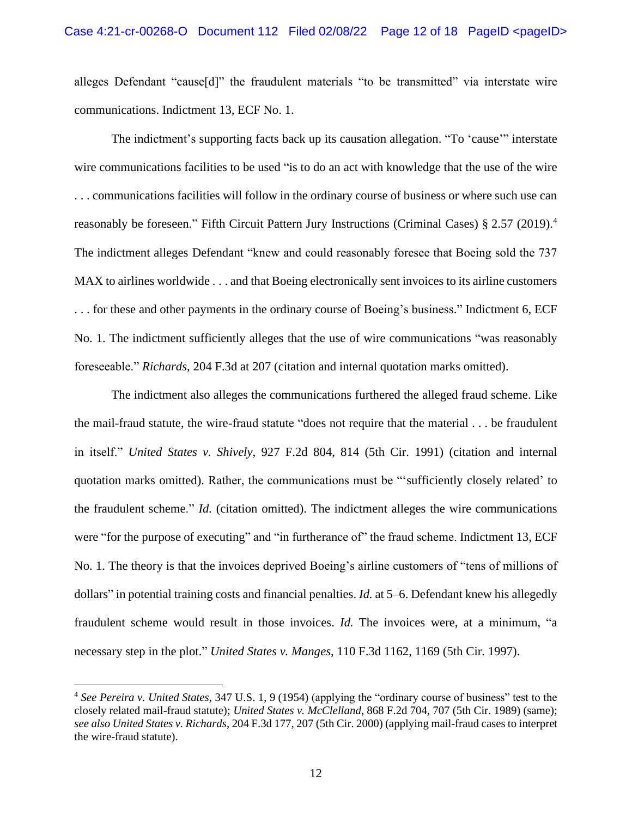alleges Defendant "cause[d]" the fraudulent materials "to be transmitted" via interstate wire communications. Indictment 13, ECF No. 1.

The indictment's supporting facts back up its causation allegation. "To 'cause'" interstate wire communications facilities to be used "is to do an act with knowledge that the use of the wire . . . communications facilities will follow in the ordinary course of business or where such use can reasonably be foreseen." Fifth Circuit Pattern Jury Instructions (Criminal Cases) § 2.57 (2019).<sup>4</sup> The indictment alleges Defendant "knew and could reasonably foresee that Boeing sold the 737 MAX to airlines worldwide . . . and that Boeing electronically sent invoices to its airline customers . . . for these and other payments in the ordinary course of Boeing's business." Indictment 6, ECF No. 1. The indictment sufficiently alleges that the use of wire communications "was reasonably foreseeable." *Richards*, 204 F.3d at 207 (citation and internal quotation marks omitted).

The indictment also alleges the communications furthered the alleged fraud scheme. Like the mail-fraud statute, the wire-fraud statute "does not require that the material . . . be fraudulent in itself." *United States v. Shively*, 927 F.2d 804, 814 (5th Cir. 1991) (citation and internal quotation marks omitted). Rather, the communications must be "'sufficiently closely related' to the fraudulent scheme." *Id.* (citation omitted). The indictment alleges the wire communications were "for the purpose of executing" and "in furtherance of" the fraud scheme. Indictment 13, ECF No. 1. The theory is that the invoices deprived Boeing's airline customers of "tens of millions of dollars" in potential training costs and financial penalties. *Id.* at 5–6. Defendant knew his allegedly fraudulent scheme would result in those invoices. *Id.* The invoices were, at a minimum, "a necessary step in the plot." *United States v. Manges*, 110 F.3d 1162, 1169 (5th Cir. 1997).

<sup>4</sup> *See Pereira v. United States*, 347 U.S. 1, 9 (1954) (applying the "ordinary course of business" test to the closely related mail-fraud statute); *United States v. McClelland*, 868 F.2d 704, 707 (5th Cir. 1989) (same); *see also United States v. Richards*, 204 F.3d 177, 207 (5th Cir. 2000) (applying mail-fraud cases to interpret the wire-fraud statute).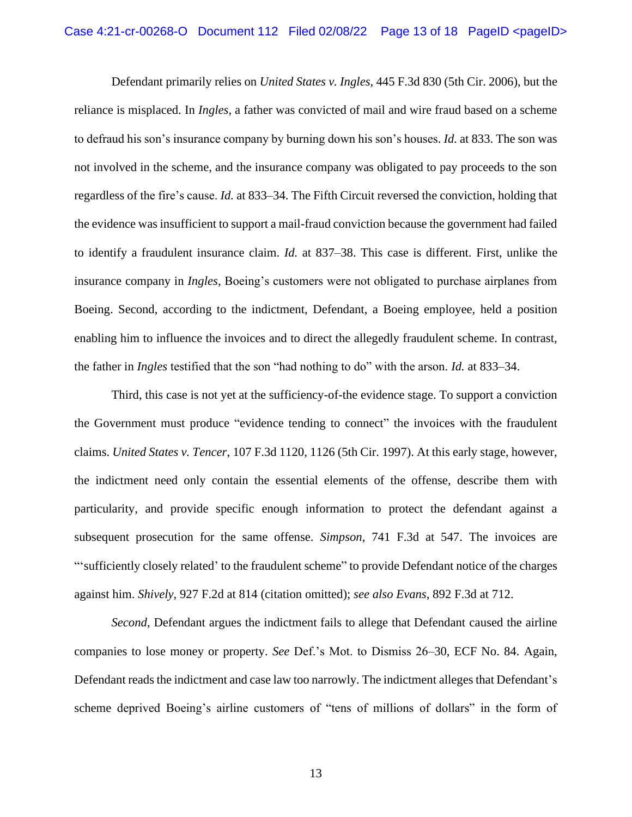Defendant primarily relies on *United States v. Ingles*, 445 F.3d 830 (5th Cir. 2006), but the reliance is misplaced. In *Ingles*, a father was convicted of mail and wire fraud based on a scheme to defraud his son's insurance company by burning down his son's houses. *Id.* at 833. The son was not involved in the scheme, and the insurance company was obligated to pay proceeds to the son regardless of the fire's cause. *Id.* at 833–34. The Fifth Circuit reversed the conviction, holding that the evidence was insufficient to support a mail-fraud conviction because the government had failed to identify a fraudulent insurance claim. *Id.* at 837–38. This case is different. First, unlike the insurance company in *Ingles*, Boeing's customers were not obligated to purchase airplanes from Boeing. Second, according to the indictment, Defendant, a Boeing employee, held a position enabling him to influence the invoices and to direct the allegedly fraudulent scheme. In contrast, the father in *Ingles* testified that the son "had nothing to do" with the arson. *Id.* at 833–34.

Third, this case is not yet at the sufficiency-of-the evidence stage. To support a conviction the Government must produce "evidence tending to connect" the invoices with the fraudulent claims. *United States v. Tencer*, 107 F.3d 1120, 1126 (5th Cir. 1997). At this early stage, however, the indictment need only contain the essential elements of the offense, describe them with particularity, and provide specific enough information to protect the defendant against a subsequent prosecution for the same offense. *Simpson*, 741 F.3d at 547. The invoices are "'sufficiently closely related' to the fraudulent scheme" to provide Defendant notice of the charges against him. *Shively*, 927 F.2d at 814 (citation omitted); *see also Evans*, 892 F.3d at 712.

*Second*, Defendant argues the indictment fails to allege that Defendant caused the airline companies to lose money or property. *See* Def.'s Mot. to Dismiss 26–30, ECF No. 84. Again, Defendant reads the indictment and case law too narrowly. The indictment alleges that Defendant's scheme deprived Boeing's airline customers of "tens of millions of dollars" in the form of

13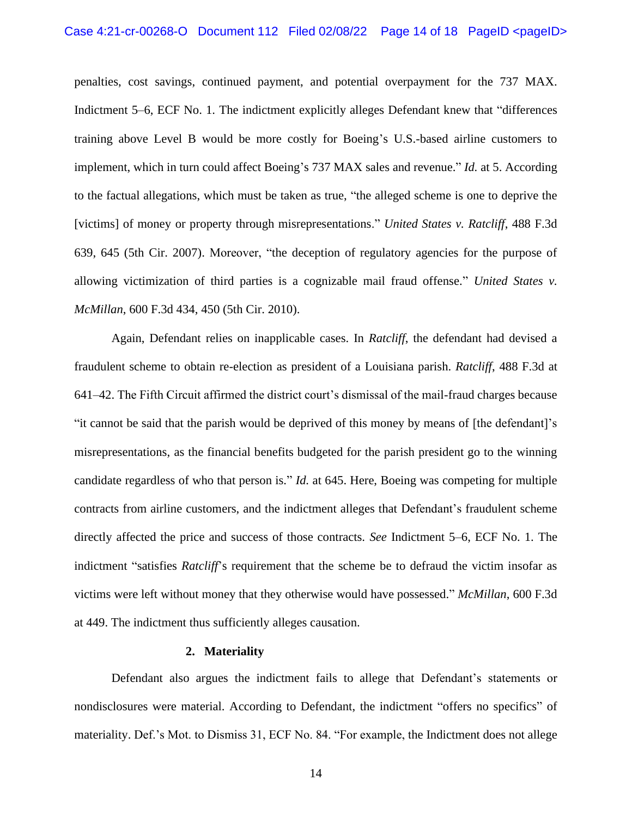penalties, cost savings, continued payment, and potential overpayment for the 737 MAX. Indictment 5–6, ECF No. 1. The indictment explicitly alleges Defendant knew that "differences training above Level B would be more costly for Boeing's U.S.-based airline customers to implement, which in turn could affect Boeing's 737 MAX sales and revenue." *Id.* at 5. According to the factual allegations, which must be taken as true, "the alleged scheme is one to deprive the [victims] of money or property through misrepresentations." *United States v. Ratcliff*, 488 F.3d 639, 645 (5th Cir. 2007). Moreover, "the deception of regulatory agencies for the purpose of allowing victimization of third parties is a cognizable mail fraud offense." *United States v. McMillan*, 600 F.3d 434, 450 (5th Cir. 2010).

Again, Defendant relies on inapplicable cases. In *Ratcliff*, the defendant had devised a fraudulent scheme to obtain re-election as president of a Louisiana parish. *Ratcliff*, 488 F.3d at 641–42. The Fifth Circuit affirmed the district court's dismissal of the mail-fraud charges because "it cannot be said that the parish would be deprived of this money by means of [the defendant]'s misrepresentations, as the financial benefits budgeted for the parish president go to the winning candidate regardless of who that person is." *Id.* at 645. Here, Boeing was competing for multiple contracts from airline customers, and the indictment alleges that Defendant's fraudulent scheme directly affected the price and success of those contracts. *See* Indictment 5–6, ECF No. 1. The indictment "satisfies *Ratcliff*'s requirement that the scheme be to defraud the victim insofar as victims were left without money that they otherwise would have possessed." *McMillan*, 600 F.3d at 449. The indictment thus sufficiently alleges causation.

#### **2. Materiality**

Defendant also argues the indictment fails to allege that Defendant's statements or nondisclosures were material. According to Defendant, the indictment "offers no specifics" of materiality. Def.'s Mot. to Dismiss 31, ECF No. 84. "For example, the Indictment does not allege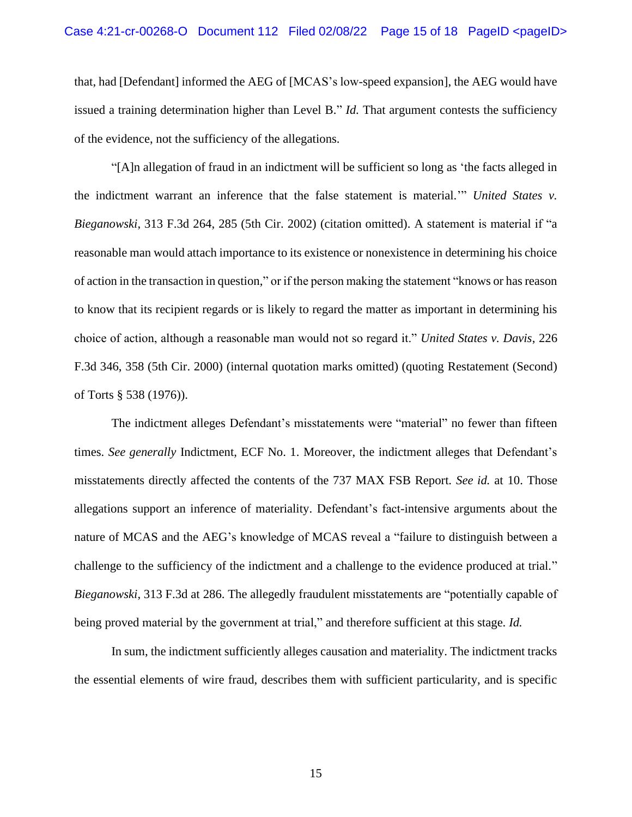that, had [Defendant] informed the AEG of [MCAS's low-speed expansion], the AEG would have issued a training determination higher than Level B." *Id.* That argument contests the sufficiency of the evidence, not the sufficiency of the allegations.

"[A]n allegation of fraud in an indictment will be sufficient so long as 'the facts alleged in the indictment warrant an inference that the false statement is material.'" *United States v. Bieganowski*, 313 F.3d 264, 285 (5th Cir. 2002) (citation omitted). A statement is material if "a reasonable man would attach importance to its existence or nonexistence in determining his choice of action in the transaction in question," or if the person making the statement "knows or has reason to know that its recipient regards or is likely to regard the matter as important in determining his choice of action, although a reasonable man would not so regard it." *United States v. Davis*, 226 F.3d 346, 358 (5th Cir. 2000) (internal quotation marks omitted) (quoting Restatement (Second) of Torts § 538 (1976)).

The indictment alleges Defendant's misstatements were "material" no fewer than fifteen times. *See generally* Indictment, ECF No. 1. Moreover, the indictment alleges that Defendant's misstatements directly affected the contents of the 737 MAX FSB Report. *See id.* at 10. Those allegations support an inference of materiality. Defendant's fact-intensive arguments about the nature of MCAS and the AEG's knowledge of MCAS reveal a "failure to distinguish between a challenge to the sufficiency of the indictment and a challenge to the evidence produced at trial." *Bieganowski*, 313 F.3d at 286. The allegedly fraudulent misstatements are "potentially capable of being proved material by the government at trial," and therefore sufficient at this stage. *Id.*

In sum, the indictment sufficiently alleges causation and materiality. The indictment tracks the essential elements of wire fraud, describes them with sufficient particularity, and is specific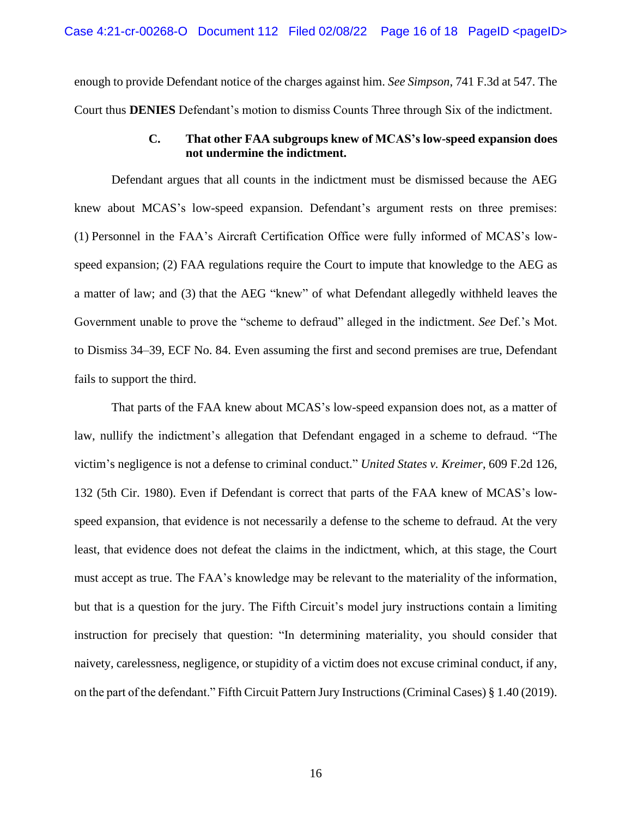enough to provide Defendant notice of the charges against him. *See Simpson*, 741 F.3d at 547. The Court thus **DENIES** Defendant's motion to dismiss Counts Three through Six of the indictment.

## **C. That other FAA subgroups knew of MCAS's low-speed expansion does not undermine the indictment.**

Defendant argues that all counts in the indictment must be dismissed because the AEG knew about MCAS's low-speed expansion. Defendant's argument rests on three premises: (1) Personnel in the FAA's Aircraft Certification Office were fully informed of MCAS's lowspeed expansion; (2) FAA regulations require the Court to impute that knowledge to the AEG as a matter of law; and (3) that the AEG "knew" of what Defendant allegedly withheld leaves the Government unable to prove the "scheme to defraud" alleged in the indictment. *See* Def.'s Mot. to Dismiss 34–39, ECF No. 84. Even assuming the first and second premises are true, Defendant fails to support the third.

That parts of the FAA knew about MCAS's low-speed expansion does not, as a matter of law, nullify the indictment's allegation that Defendant engaged in a scheme to defraud. "The victim's negligence is not a defense to criminal conduct." *United States v. Kreimer*, 609 F.2d 126, 132 (5th Cir. 1980). Even if Defendant is correct that parts of the FAA knew of MCAS's lowspeed expansion, that evidence is not necessarily a defense to the scheme to defraud. At the very least, that evidence does not defeat the claims in the indictment, which, at this stage, the Court must accept as true. The FAA's knowledge may be relevant to the materiality of the information, but that is a question for the jury. The Fifth Circuit's model jury instructions contain a limiting instruction for precisely that question: "In determining materiality, you should consider that naivety, carelessness, negligence, or stupidity of a victim does not excuse criminal conduct, if any, on the part of the defendant." Fifth Circuit Pattern Jury Instructions (Criminal Cases) § 1.40 (2019).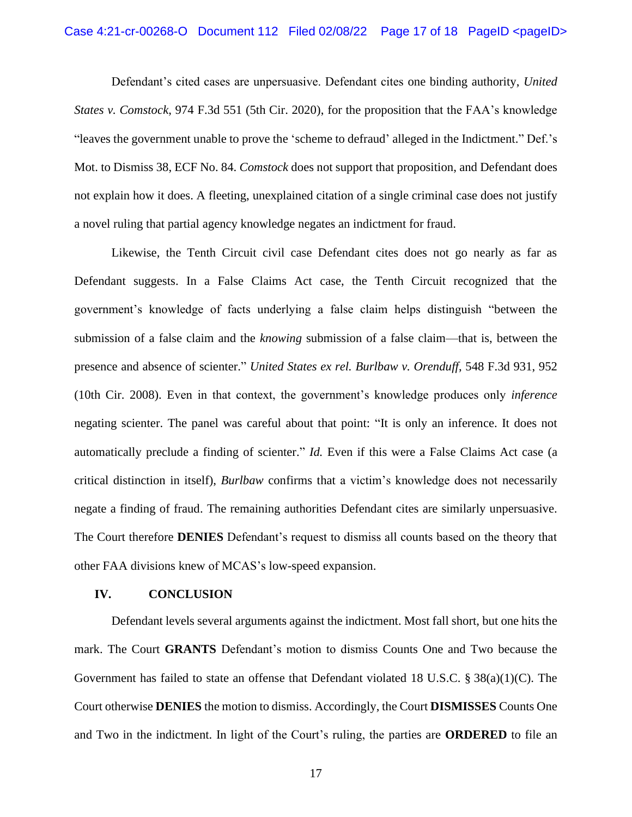Defendant's cited cases are unpersuasive. Defendant cites one binding authority, *United States v. Comstock*, 974 F.3d 551 (5th Cir. 2020), for the proposition that the FAA's knowledge "leaves the government unable to prove the 'scheme to defraud' alleged in the Indictment." Def.'s Mot. to Dismiss 38, ECF No. 84. *Comstock* does not support that proposition, and Defendant does not explain how it does. A fleeting, unexplained citation of a single criminal case does not justify a novel ruling that partial agency knowledge negates an indictment for fraud.

Likewise, the Tenth Circuit civil case Defendant cites does not go nearly as far as Defendant suggests. In a False Claims Act case, the Tenth Circuit recognized that the government's knowledge of facts underlying a false claim helps distinguish "between the submission of a false claim and the *knowing* submission of a false claim—that is, between the presence and absence of scienter." *United States ex rel. Burlbaw v. Orenduff*, 548 F.3d 931, 952 (10th Cir. 2008). Even in that context, the government's knowledge produces only *inference* negating scienter. The panel was careful about that point: "It is only an inference. It does not automatically preclude a finding of scienter." *Id.* Even if this were a False Claims Act case (a critical distinction in itself), *Burlbaw* confirms that a victim's knowledge does not necessarily negate a finding of fraud. The remaining authorities Defendant cites are similarly unpersuasive. The Court therefore **DENIES** Defendant's request to dismiss all counts based on the theory that other FAA divisions knew of MCAS's low-speed expansion.

#### **IV. CONCLUSION**

Defendant levels several arguments against the indictment. Most fall short, but one hits the mark. The Court **GRANTS** Defendant's motion to dismiss Counts One and Two because the Government has failed to state an offense that Defendant violated 18 U.S.C. § 38(a)(1)(C). The Court otherwise **DENIES** the motion to dismiss. Accordingly, the Court **DISMISSES** Counts One and Two in the indictment. In light of the Court's ruling, the parties are **ORDERED** to file an